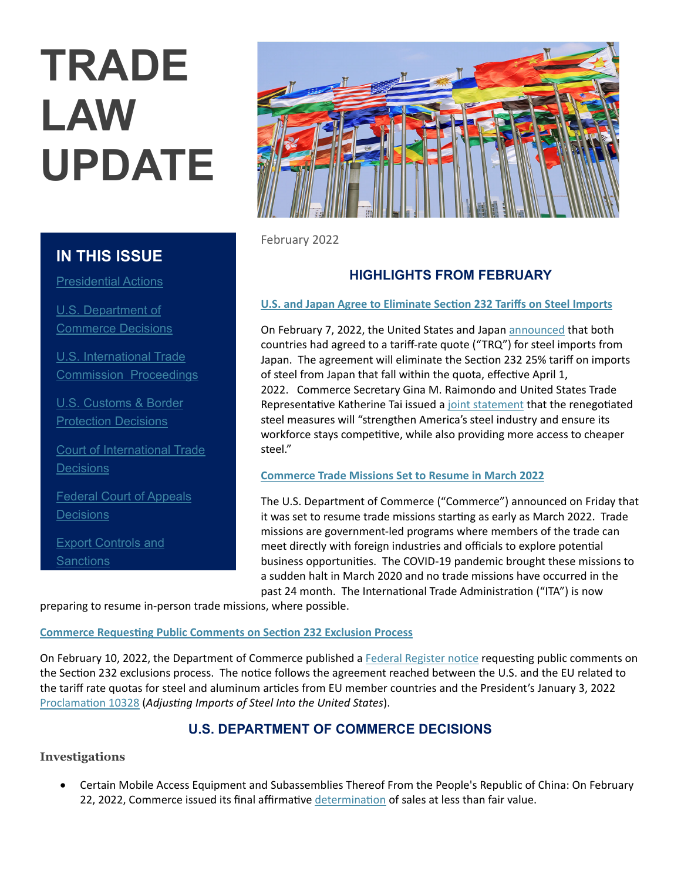# **TRADE LAW UPDATE**

# **IN THIS ISSUE**

Presidential Actions

U.S. Department of Commerce Decisions

U.S. International Trade Commission Proceedings

U.S. Customs & Border Protection Decisions

Court of International Trade **Decisions** 

Federal Court of Appeals **Decisions** 

**Export Controls and Sanctions** 



February 2022

# **HIGHLIGHTS FROM FEBRUARY**

# **U.S. and Japan Agree to Eliminate Section 232 Tariffs on Steel Imports**

On February 7, 2022, the United States and Japan announced that both countries had agreed to a tariff-rate quote ("TRQ") for steel imports from Japan. The agreement will eliminate the Section 232 25% tariff on imports of steel from Japan that fall within the quota, effective April 1, 2022. Commerce Secretary Gina M. Raimondo and United States Trade Representative Katherine Tai issued a joint statement that the renegotiated steel measures will "strengthen America's steel industry and ensure its workforce stays competitive, while also providing more access to cheaper steel."

## **Commerce Trade Missions Set to Resume in March 2022**

The U.S. Department of Commerce ("Commerce") announced on Friday that it was set to resume trade missions starting as early as March 2022. Trade missions are government-led programs where members of the trade can meet directly with foreign industries and officials to explore potential business opportunities. The COVID-19 pandemic brought these missions to a sudden halt in March 2020 and no trade missions have occurred in the past 24 month. The International Trade Administration ("ITA") is now

preparing to resume in-person trade missions, where possible.

# **Commerce Requesting Public Comments on Section 232 Exclusion Process**

On February 10, 2022, the Department of Commerce published a Federal Register notice requesting public comments on the Section 232 exclusions process. The notice follows the agreement reached between the U.S. and the EU related to the tariff rate quotas for steel and aluminum articles from EU member countries and the President's January 3, 2022 **Proclamation 10328 (Adjusting Imports of Steel Into the United States).** 

# **U.S. DEPARTMENT OF COMMERCE DECISIONS**

# **Investigations**

 Certain Mobile Access Equipment and Subassemblies Thereof From the People's Republic of China: On February 22, 2022, Commerce issued its final affirmative determination of sales at less than fair value.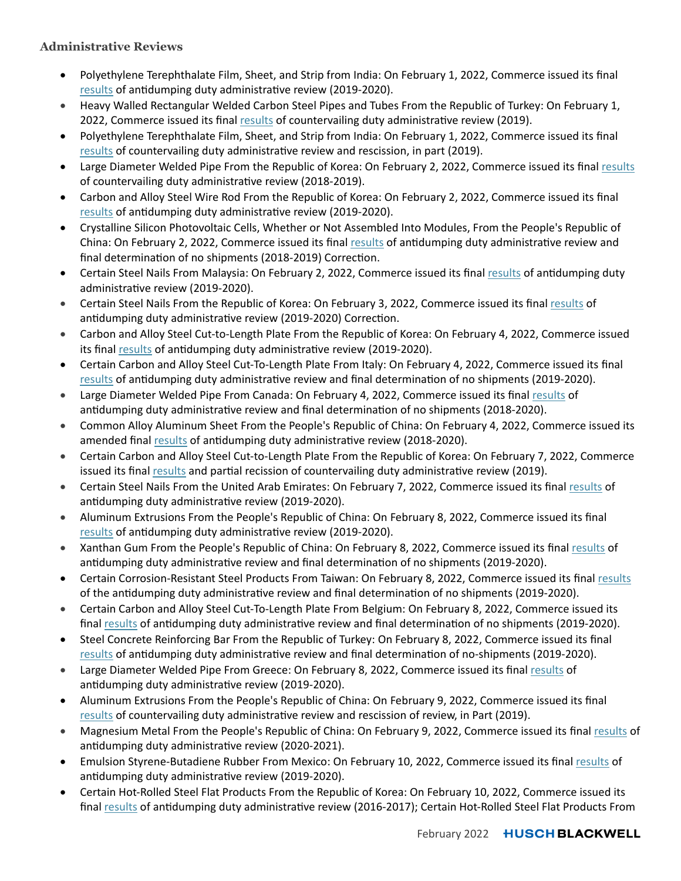# **Administrative Reviews**

- Polyethylene Terephthalate Film, Sheet, and Strip from India: On February 1, 2022, Commerce issued its final results of antidumping duty administrative review (2019-2020).
- Heavy Walled Rectangular Welded Carbon Steel Pipes and Tubes From the Republic of Turkey: On February 1, 2022, Commerce issued its final results of countervailing duty administrative review (2019).
- Polyethylene Terephthalate Film, Sheet, and Strip from India: On February 1, 2022, Commerce issued its final results of countervailing duty administrative review and rescission, in part (2019).
- Large Diameter Welded Pipe From the Republic of Korea: On February 2, 2022, Commerce issued its final results of countervailing duty administrative review (2018-2019).
- Carbon and Alloy Steel Wire Rod From the Republic of Korea: On February 2, 2022, Commerce issued its final results of antidumping duty administrative review (2019-2020).
- Crystalline Silicon Photovoltaic Cells, Whether or Not Assembled Into Modules, From the People's Republic of China: On February 2, 2022, Commerce issued its final results of antidumping duty administrative review and final determination of no shipments (2018-2019) Correction.
- Certain Steel Nails From Malaysia: On February 2, 2022, Commerce issued its final results of antidumping duty administrative review (2019-2020).
- **•** Certain Steel Nails From the Republic of Korea: On February 3, 2022, Commerce issued its final results of antidumping duty administrative review (2019-2020) Correction.
- Carbon and Alloy Steel Cut-to-Length Plate From the Republic of Korea: On February 4, 2022, Commerce issued its final results of antidumping duty administrative review (2019-2020).
- Certain Carbon and Alloy Steel Cut-To-Length Plate From Italy: On February 4, 2022, Commerce issued its final results of antidumping duty administrative review and final determination of no shipments (2019-2020).
- Large Diameter Welded Pipe From Canada: On February 4, 2022, Commerce issued its final results of antidumping duty administrative review and final determination of no shipments (2018-2020).
- Common Alloy Aluminum Sheet From the People's Republic of China: On February 4, 2022, Commerce issued its amended final results of antidumping duty administrative review (2018-2020).
- Certain Carbon and Alloy Steel Cut-to-Length Plate From the Republic of Korea: On February 7, 2022, Commerce issued its final results and partial recission of countervailing duty administrative review (2019).
- Certain Steel Nails From the United Arab Emirates: On February 7, 2022, Commerce issued its final results of antidumping duty administrative review (2019-2020).
- Aluminum Extrusions From the People's Republic of China: On February 8, 2022, Commerce issued its final results of antidumping duty administrative review (2019-2020).
- Xanthan Gum From the People's Republic of China: On February 8, 2022, Commerce issued its final results of antidumping duty administrative review and final determination of no shipments (2019-2020).
- Certain Corrosion-Resistant Steel Products From Taiwan: On February 8, 2022, Commerce issued its final results of the antidumping duty administrative review and final determination of no shipments (2019-2020).
- Certain Carbon and Alloy Steel Cut-To-Length Plate From Belgium: On February 8, 2022, Commerce issued its final results of antidumping duty administrative review and final determination of no shipments (2019-2020).
- Steel Concrete Reinforcing Bar From the Republic of Turkey: On February 8, 2022, Commerce issued its final results of antidumping duty administrative review and final determination of no-shipments (2019-2020).
- Large Diameter Welded Pipe From Greece: On February 8, 2022, Commerce issued its final results of antidumping duty administrative review (2019-2020).
- Aluminum Extrusions From the People's Republic of China: On February 9, 2022, Commerce issued its final results of countervailing duty administrative review and rescission of review, in Part (2019).
- Magnesium Metal From the People's Republic of China: On February 9, 2022, Commerce issued its final results of antidumping duty administrative review (2020-2021).
- Emulsion Styrene-Butadiene Rubber From Mexico: On February 10, 2022, Commerce issued its final results of antidumping duty administrative review (2019-2020).
- Certain Hot-Rolled Steel Flat Products From the Republic of Korea: On February 10, 2022, Commerce issued its final results of antidumping duty administrative review (2016-2017); Certain Hot-Rolled Steel Flat Products From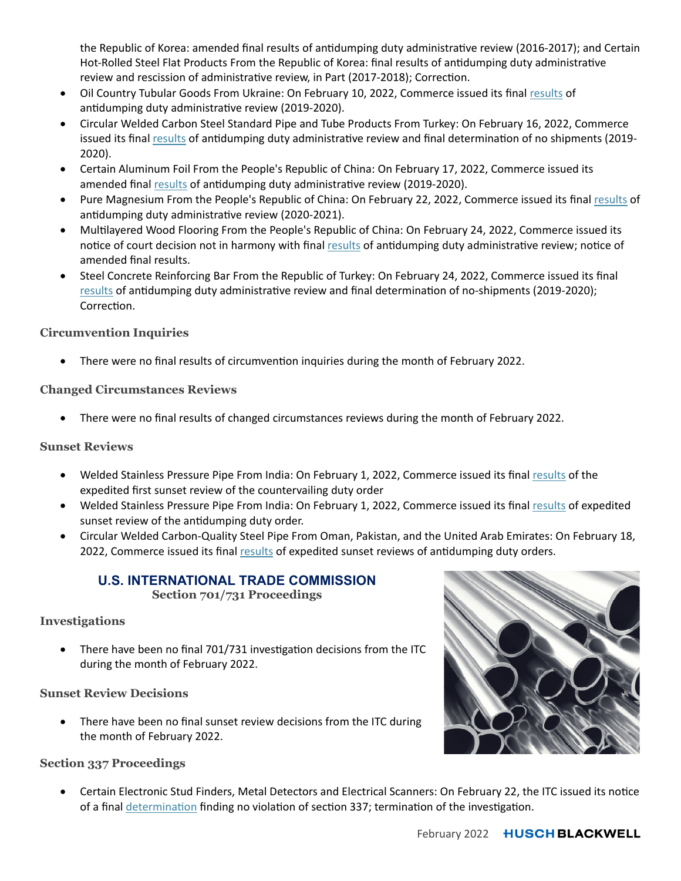the Republic of Korea: amended final results of antidumping duty administrative review (2016-2017); and Certain Hot-Rolled Steel Flat Products From the Republic of Korea: final results of antidumping duty administrative review and rescission of administrative review, in Part (2017-2018); Correction.

- Oil Country Tubular Goods From Ukraine: On February 10, 2022, Commerce issued its final results of antidumping duty administrative review (2019-2020).
- Circular Welded Carbon Steel Standard Pipe and Tube Products From Turkey: On February 16, 2022, Commerce issued its final results of antidumping duty administrative review and final determination of no shipments (2019-2020).
- Certain Aluminum Foil From the People's Republic of China: On February 17, 2022, Commerce issued its amended final results of antidumping duty administrative review (2019-2020).
- Pure Magnesium From the People's Republic of China: On February 22, 2022, Commerce issued its final results of antidumping duty administrative review (2020-2021).
- Multilayered Wood Flooring From the People's Republic of China: On February 24, 2022, Commerce issued its notice of court decision not in harmony with final results of antidumping duty administrative review; notice of amended final results.
- Steel Concrete Reinforcing Bar From the Republic of Turkey: On February 24, 2022, Commerce issued its final results of antidumping duty administrative review and final determination of no-shipments (2019-2020); Correction.

# **Circumvention Inquiries**

There were no final results of circumvention inquiries during the month of February 2022.

# **Changed Circumstances Reviews**

There were no final results of changed circumstances reviews during the month of February 2022.

# **Sunset Reviews**

- Welded Stainless Pressure Pipe From India: On February 1, 2022, Commerce issued its final results of the expedited first sunset review of the countervailing duty order
- Welded Stainless Pressure Pipe From India: On February 1, 2022, Commerce issued its final results of expedited sunset review of the antidumping duty order.
- Circular Welded Carbon-Quality Steel Pipe From Oman, Pakistan, and the United Arab Emirates: On February 18, 2022, Commerce issued its final results of expedited sunset reviews of antidumping duty orders.

# **U.S. INTERNATIONAL TRADE COMMISSION Section 701/731 Proceedings**

## **Investigations**

There have been no final 701/731 investigation decisions from the ITC during the month of February 2022.

## **Sunset Review Decisions**

 There have been no final sunset review decisions from the ITC during the month of February 2022.

## **Section 337 Proceedings**

Certain Electronic Stud Finders, Metal Detectors and Electrical Scanners: On February 22, the ITC issued its notice of a final determination finding no violation of section 337; termination of the investigation.

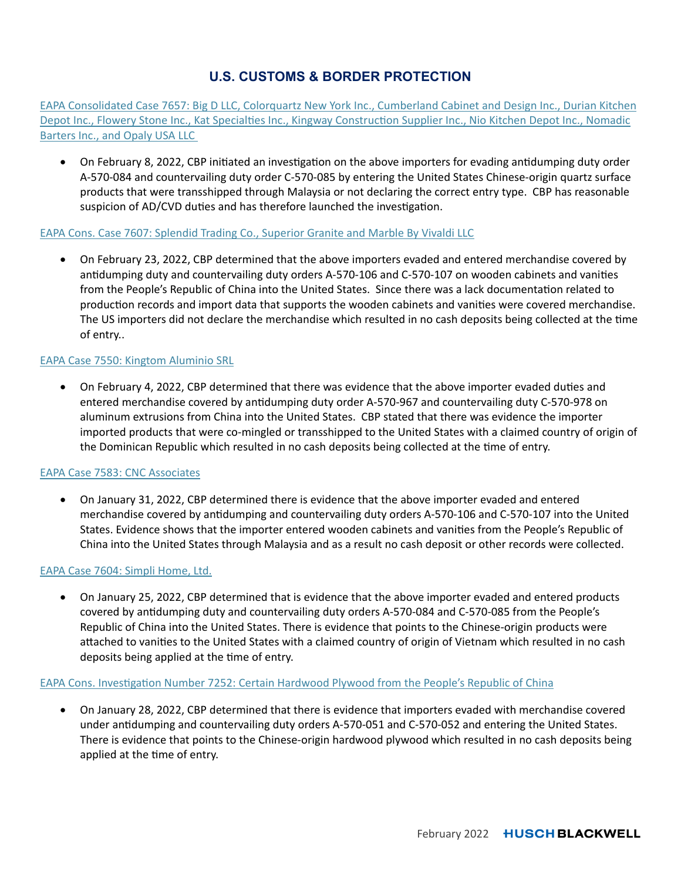# **U.S. CUSTOMS & BORDER PROTECTION**

EAPA Consolidated Case 7657: Big D LLC, Colorquartz New York Inc., Cumberland Cabinet and Design Inc., Durian Kitchen Depot Inc., Flowery Stone Inc., Kat Specialties Inc., Kingway Construction Supplier Inc., Nio Kitchen Depot Inc., Nomadic Barters Inc., and Opaly USA LLC

• On February 8, 2022, CBP initiated an investigation on the above importers for evading antidumping duty order A-570-084 and countervailing duty order C-570-085 by entering the United States Chinese-origin quartz surface products that were transshipped through Malaysia or not declaring the correct entry type. CBP has reasonable suspicion of AD/CVD duties and has therefore launched the investigation.

#### EAPA Cons. Case 7607: Splendid Trading Co., Superior Granite and Marble By Vivaldi LLC

 On February 23, 2022, CBP determined that the above importers evaded and entered merchandise covered by antidumping duty and countervailing duty orders A-570-106 and C-570-107 on wooden cabinets and vanities from the People's Republic of China into the United States. Since there was a lack documentation related to production records and import data that supports the wooden cabinets and vanities were covered merchandise. The US importers did not declare the merchandise which resulted in no cash deposits being collected at the time of entry..

#### EAPA Case 7550: Kingtom Aluminio SRL

On February 4, 2022, CBP determined that there was evidence that the above importer evaded duties and entered merchandise covered by antidumping duty order A-570-967 and countervailing duty C-570-978 on aluminum extrusions from China into the United States. CBP stated that there was evidence the importer imported products that were co-mingled or transshipped to the United States with a claimed country of origin of the Dominican Republic which resulted in no cash deposits being collected at the time of entry.

#### EAPA Case 7583: CNC Associates

 On January 31, 2022, CBP determined there is evidence that the above importer evaded and entered merchandise covered by antidumping and countervailing duty orders A-570-106 and C-570-107 into the United States. Evidence shows that the importer entered wooden cabinets and vanities from the People's Republic of China into the United States through Malaysia and as a result no cash deposit or other records were collected.

#### EAPA Case 7604: Simpli Home, Ltd.

 On January 25, 2022, CBP determined that is evidence that the above importer evaded and entered products covered by antidumping duty and countervailing duty orders A-570-084 and C-570-085 from the People's Republic of China into the United States. There is evidence that points to the Chinese-origin products were attached to vanities to the United States with a claimed country of origin of Vietnam which resulted in no cash deposits being applied at the time of entry.

#### EAPA Cons. Investigation Number 7252: Certain Hardwood Plywood from the People's Republic of China

 On January 28, 2022, CBP determined that there is evidence that importers evaded with merchandise covered under antidumping and countervailing duty orders A-570-051 and C-570-052 and entering the United States. There is evidence that points to the Chinese-origin hardwood plywood which resulted in no cash deposits being applied at the time of entry.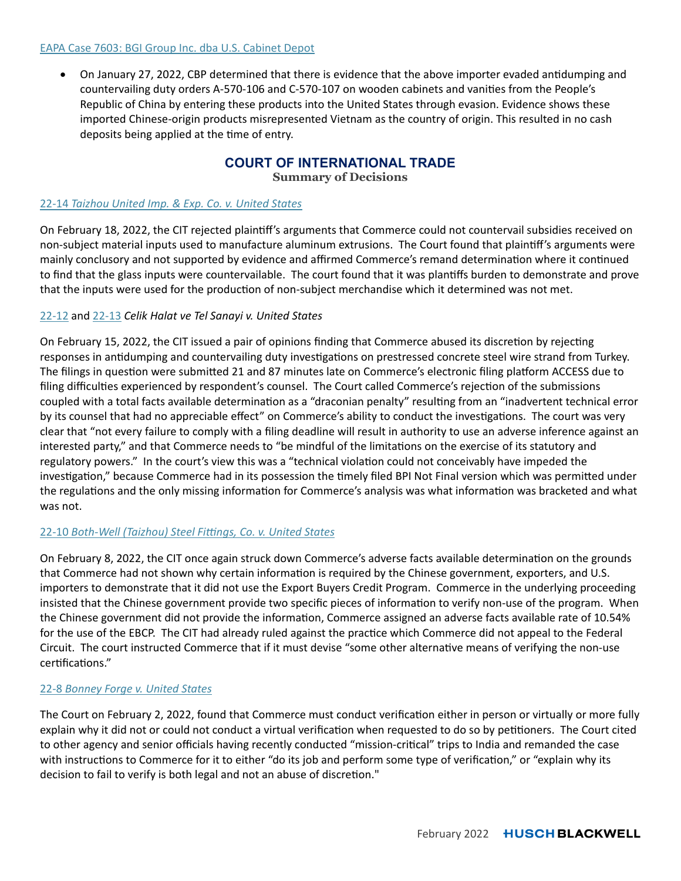#### EAPA Case 7603: BGI Group Inc. dba U.S. Cabinet Depot

On January 27, 2022, CBP determined that there is evidence that the above importer evaded antidumping and countervailing duty orders A-570-106 and C-570-107 on wooden cabinets and vanities from the People's Republic of China by entering these products into the United States through evasion. Evidence shows these imported Chinese-origin products misrepresented Vietnam as the country of origin. This resulted in no cash deposits being applied at the time of entry.

## **COURT OF INTERNATIONAL TRADE**

**Summary of Decisions** 

#### 22-14 *Taizhou United Imp. & Exp. Co. v. United States*

On February 18, 2022, the CIT rejected plaintiff's arguments that Commerce could not countervail subsidies received on non-subject material inputs used to manufacture aluminum extrusions. The Court found that plaintiff's arguments were mainly conclusory and not supported by evidence and affirmed Commerce's remand determination where it continued to find that the glass inputs were countervailable. The court found that it was plantiffs burden to demonstrate and prove that the inputs were used for the production of non-subject merchandise which it determined was not met.

## 22-12 and 22-13 *Celik Halat ve Tel Sanayi v. United States*

On February 15, 2022, the CIT issued a pair of opinions finding that Commerce abused its discretion by rejecting responses in antidumping and countervailing duty investigations on prestressed concrete steel wire strand from Turkey. The filings in question were submitted 21 and 87 minutes late on Commerce's electronic filing platform ACCESS due to filing difficulties experienced by respondent's counsel. The Court called Commerce's rejection of the submissions coupled with a total facts available determination as a "draconian penalty" resulting from an "inadvertent technical error by its counsel that had no appreciable effect" on Commerce's ability to conduct the investigations. The court was very clear that "not every failure to comply with a filing deadline will result in authority to use an adverse inference against an interested party," and that Commerce needs to "be mindful of the limitations on the exercise of its statutory and regulatory powers." In the court's view this was a "technical violation could not conceivably have impeded the investigation," because Commerce had in its possession the timely filed BPI Not Final version which was permitted under the regulations and the only missing information for Commerce's analysis was what information was bracketed and what was not.

#### 22-10 *Both-Well (Taizhou) Steel Fiƫngs, Co. v. United States*

On February 8, 2022, the CIT once again struck down Commerce's adverse facts available determination on the grounds that Commerce had not shown why certain information is required by the Chinese government, exporters, and U.S. importers to demonstrate that it did not use the Export Buyers Credit Program. Commerce in the underlying proceeding insisted that the Chinese government provide two specific pieces of information to verify non-use of the program. When the Chinese government did not provide the information, Commerce assigned an adverse facts available rate of 10.54% for the use of the EBCP. The CIT had already ruled against the practice which Commerce did not appeal to the Federal Circuit. The court instructed Commerce that if it must devise "some other alternative means of verifying the non-use certifications."

#### 22-8 *Bonney Forge v. United States*

The Court on February 2, 2022, found that Commerce must conduct verification either in person or virtually or more fully explain why it did not or could not conduct a virtual verification when requested to do so by petitioners. The Court cited to other agency and senior officials having recently conducted "mission-critical" trips to India and remanded the case with instructions to Commerce for it to either "do its job and perform some type of verification," or "explain why its decision to fail to verify is both legal and not an abuse of discretion."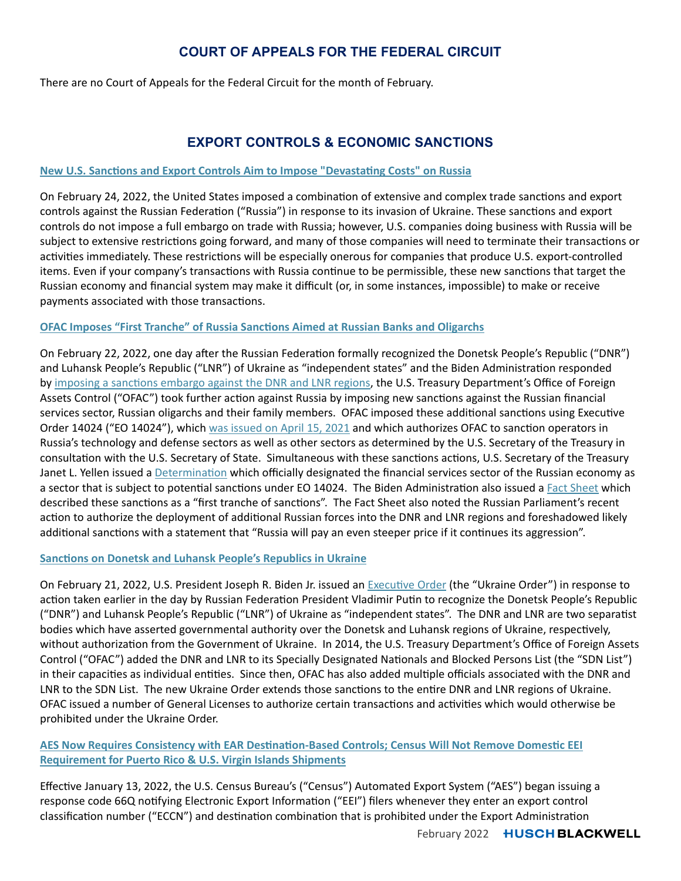# **COURT OF APPEALS FOR THE FEDERAL CIRCUIT**

There are no Court of Appeals for the Federal Circuit for the month of February.

# **EXPORT CONTROLS & ECONOMIC SANCTIONS**

#### **New U.S. SancƟons and Export Controls Aim to Impose "DevastaƟng Costs" on Russia**

On February 24, 2022, the United States imposed a combination of extensive and complex trade sanctions and export controls against the Russian Federation ("Russia") in response to its invasion of Ukraine. These sanctions and export controls do not impose a full embargo on trade with Russia; however, U.S. companies doing business with Russia will be subject to extensive restrictions going forward, and many of those companies will need to terminate their transactions or activities immediately. These restrictions will be especially onerous for companies that produce U.S. export-controlled items. Even if your company's transactions with Russia continue to be permissible, these new sanctions that target the Russian economy and financial system may make it difficult (or, in some instances, impossible) to make or receive payments associated with those transactions.

#### **OFAC Imposes "First Tranche" of Russia SancƟons Aimed at Russian Banks and Oligarchs**

On February 22, 2022, one day after the Russian Federation formally recognized the Donetsk People's Republic ("DNR") and Luhansk People's Republic ("LNR") of Ukraine as "independent states" and the Biden Administration responded by imposing a sanctions embargo against the DNR and LNR regions, the U.S. Treasury Department's Office of Foreign Assets Control ("OFAC") took further action against Russia by imposing new sanctions against the Russian financial services sector, Russian oligarchs and their family members. OFAC imposed these additional sanctions using Executive Order 14024 ("EO 14024"), which was issued on April 15, 2021 and which authorizes OFAC to sanction operators in Russia's technology and defense sectors as well as other sectors as determined by the U.S. Secretary of the Treasury in consultation with the U.S. Secretary of State. Simultaneous with these sanctions actions, U.S. Secretary of the Treasury Janet L. Yellen issued a Determination which officially designated the financial services sector of the Russian economy as a sector that is subject to potential sanctions under EO 14024. The Biden Administration also issued a Fact Sheet which described these sanctions as a "first tranche of sanctions". The Fact Sheet also noted the Russian Parliament's recent action to authorize the deployment of additional Russian forces into the DNR and LNR regions and foreshadowed likely additional sanctions with a statement that "Russia will pay an even steeper price if it continues its aggression".

#### **SancƟons on Donetsk and Luhansk People's Republics in Ukraine**

On February 21, 2022, U.S. President Joseph R. Biden Jr. issued an Executive Order (the "Ukraine Order") in response to action taken earlier in the day by Russian Federation President Vladimir Putin to recognize the Donetsk People's Republic ("DNR") and Luhansk People's Republic ("LNR") of Ukraine as "independent states". The DNR and LNR are two separatist bodies which have asserted governmental authority over the Donetsk and Luhansk regions of Ukraine, respectively, without authorization from the Government of Ukraine. In 2014, the U.S. Treasury Department's Office of Foreign Assets Control ("OFAC") added the DNR and LNR to its Specially Designated Nationals and Blocked Persons List (the "SDN List") in their capacities as individual entities. Since then, OFAC has also added multiple officials associated with the DNR and LNR to the SDN List. The new Ukraine Order extends those sanctions to the entire DNR and LNR regions of Ukraine. OFAC issued a number of General Licenses to authorize certain transactions and activities which would otherwise be prohibited under the Ukraine Order.

## **AES Now Requires Consistency with EAR Destination-Based Controls; Census Will Not Remove Domestic EEI Requirement for Puerto Rico & U.S. Virgin Islands Shipments**

Effective January 13, 2022, the U.S. Census Bureau's ("Census") Automated Export System ("AES") began issuing a response code 66Q notifying Electronic Export Information ("EEI") filers whenever they enter an export control classification number ("ECCN") and destination combination that is prohibited under the Export Administration